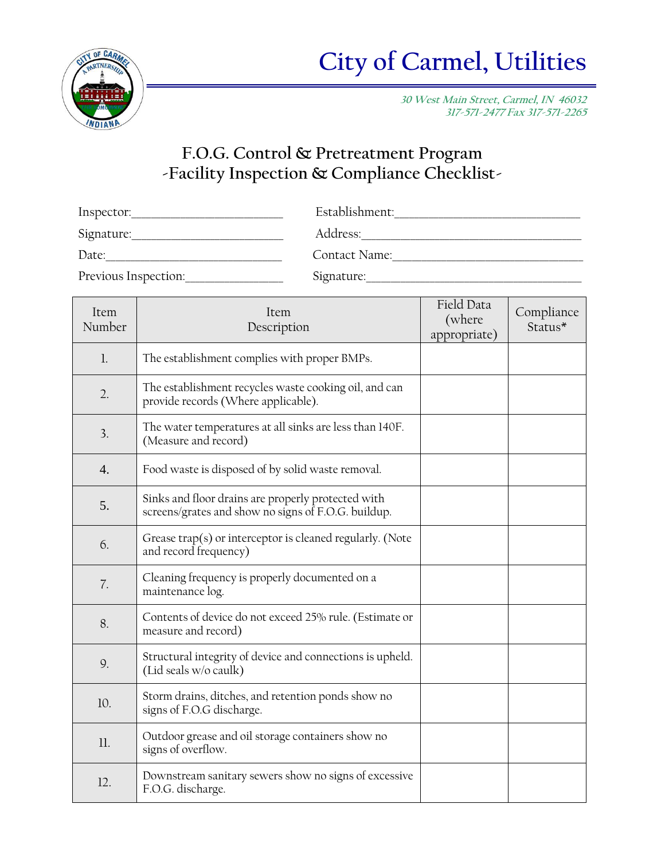

**30 West Main Street, Carmel, IN 46032 317-571-2477 Fax 317-571-2265**

## **F.O.G. Control & Pretreatment Program -Facility Inspection & Compliance Checklist-**

| Inspector:           | Establishment: |
|----------------------|----------------|
| Signature:           | Address:       |
| Date:                | Contact Name:  |
| Previous Inspection: | Signature:     |

| Item<br>Number   | Item<br>Description                                                                                       | Field Data<br>(where<br>appropriate) | Compliance<br>Status* |
|------------------|-----------------------------------------------------------------------------------------------------------|--------------------------------------|-----------------------|
| $\mathbf{l}$ .   | The establishment complies with proper BMPs.                                                              |                                      |                       |
| 2.               | The establishment recycles waste cooking oil, and can<br>provide records (Where applicable).              |                                      |                       |
| 3.               | The water temperatures at all sinks are less than 140F.<br>(Measure and record)                           |                                      |                       |
| $\overline{4}$ . | Food waste is disposed of by solid waste removal.                                                         |                                      |                       |
| 5.               | Sinks and floor drains are properly protected with<br>screens/grates and show no signs of F.O.G. buildup. |                                      |                       |
| 6.               | Grease trap(s) or interceptor is cleaned regularly. (Note<br>and record frequency)                        |                                      |                       |
| 7.               | Cleaning frequency is properly documented on a<br>maintenance log.                                        |                                      |                       |
| 8.               | Contents of device do not exceed 25% rule. (Estimate or<br>measure and record)                            |                                      |                       |
| 9.               | Structural integrity of device and connections is upheld.<br>(Lid seals w/o caulk)                        |                                      |                       |
| 10.              | Storm drains, ditches, and retention ponds show no<br>signs of F.O.G discharge.                           |                                      |                       |
| 11.              | Outdoor grease and oil storage containers show no<br>signs of overflow.                                   |                                      |                       |
| 12.              | Downstream sanitary sewers show no signs of excessive<br>F.O.G. discharge.                                |                                      |                       |